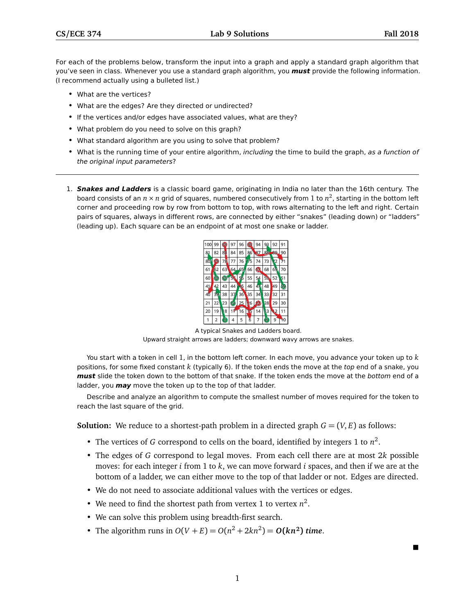$\blacksquare$ 

For each of the problems below, transform the input into a graph and apply a standard graph algorithm that you've seen in class. Whenever you use a standard graph algorithm, you **must** provide the following information. (I recommend actually using a bulleted list.)

- What are the vertices?
- What are the edges? Are they directed or undirected?
- If the vertices and/or edges have associated values, what are they?
- What problem do you need to solve on this graph?
- What standard algorithm are you using to solve that problem?
- What is the running time of your entire algorithm, including the time to build the graph, as a function of the original input parameters?
- 1. **Snakes and Ladders** is a classic board game, originating in India no later than the 16th century. The board consists of an *n* × *n* grid of squares, numbered consecutively from 1 to *n* 2 , starting in the bottom left corner and proceeding row by row from bottom to top, with rows alternating to the left and right. Certain pairs of squares, always in different rows, are connected by either "snakes" (leading down) or "ladders" (leading up). Each square can be an endpoint of at most one snake or ladder.



A typical Snakes and Ladders board. Upward straight arrows are ladders; downward wavy arrows are snakes.

You start with a token in cell 1, in the bottom left corner. In each move, you advance your token up to *k* positions, for some fixed constant *k* (typically 6). If the token ends the move at the top end of a snake, you **must** slide the token down to the bottom of that snake. If the token ends the move at the bottom end of a ladder, you **may** move the token up to the top of that ladder.

Describe and analyze an algorithm to compute the smallest number of moves required for the token to reach the last square of the grid.

**Solution:** We reduce to a shortest-path problem in a directed graph  $G = (V, E)$  as follows:

- The vertices of *G* correspond to cells on the board, identified by integers 1 to  $n^2$ .
- The edges of *G* correspond to legal moves. From each cell there are at most 2*k* possible moves: for each integer *i* from 1 to *k*, we can move forward *i* spaces, and then if we are at the bottom of a ladder, we can either move to the top of that ladder or not. Edges are directed.
- We do not need to associate additional values with the vertices or edges.
- We need to find the shortest path from vertex 1 to vertex  $n^2$ .
- We can solve this problem using breadth-first search.
- The algorithm runs in  $O(V + E) = O(n^2 + 2kn^2) = O(kn^2)$  *time.*

1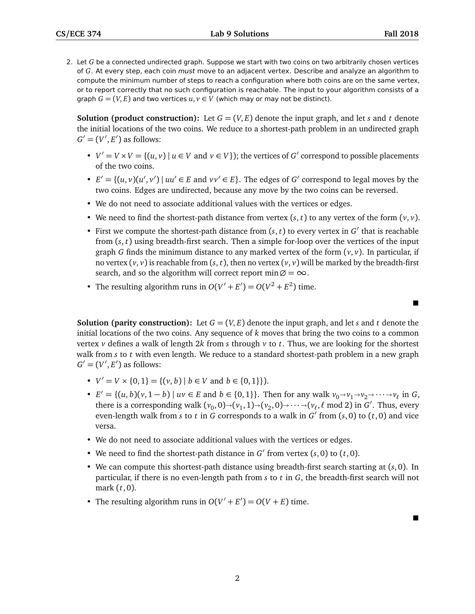$\blacksquare$ 

 $\blacksquare$ 

2. Let *G* be a connected undirected graph. Suppose we start with two coins on two arbitrarily chosen vertices of *G*. At every step, each coin must move to an adjacent vertex. Describe and analyze an algorithm to compute the minimum number of steps to reach a configuration where both coins are on the same vertex, or to report correctly that no such configuration is reachable. The input to your algorithm consists of a graph  $G = (V, E)$  and two vertices  $u, v \in V$  (which may or may not be distinct).

**Solution (product construction):** Let  $G = (V, E)$  denote the input graph, and let *s* and *t* denote the initial locations of the two coins. We reduce to a shortest-path problem in an undirected graph  $G' = (V', E')$  as follows:

- $V' = V \times V = \{(u, v) \mid u \in V \text{ and } v \in V\}$ ; the vertices of *G*' correspond to possible placements of the two coins.
- $E' = \{(u, v)(u', v') \mid uu' \in E \text{ and } vv' \in E\}$ . The edges of *G'* correspond to legal moves by the two coins. Edges are undirected, because any move by the two coins can be reversed.
- We do not need to associate additional values with the vertices or edges.
- We need to find the shortest-path distance from vertex  $(s, t)$  to any vertex of the form  $(v, v)$ .
- First we compute the shortest-path distance from  $(s, t)$  to every vertex in  $G'$  that is reachable from (*s*, *t*) using breadth-first search. Then a simple for-loop over the vertices of the input graph *G* finds the minimum distance to any marked vertex of the form  $(v, v)$ . In particular, if no vertex  $(v, v)$  is reachable from  $(s, t)$ , then no vertex  $(v, v)$  will be marked by the breadth-first search, and so the algorithm will correct report min $\emptyset = \infty$ .
- The resulting algorithm runs in  $O(V' + E') = O(V^2 + E^2)$  time.

**Solution (parity construction):** Let  $G = (V, E)$  denote the input graph, and let *s* and *t* denote the initial locations of the two coins. Any sequence of *k* moves that bring the two coins to a common vertex *v* defines a walk of length 2*k* from *s* through *v* to *t*. Thus, we are looking for the shortest walk from *s* to *t* with even length. We reduce to a standard shortest-path problem in a new graph  $G' = (V', E')$  as follows:

- $V' = V \times \{0, 1\} = \{ (v, b) | b \in V \text{ and } b \in \{0, 1\} \}.$
- $E' = \{(u, b)(v, 1 b) \mid uv \in E \text{ and } b \in \{0, 1\}\}\.$  Then for any walk  $v_0 \to v_1 \to v_2 \to \cdots \to v_\ell$  in *G*, there is a corresponding yielk  $(v_0, 0) \times (v_1, 1) \times (v_2, 0) \times \cdots \times (v_n \mod 2)$  in *G*'. Thus, eventually there is a corresponding walk  $(v_0, 0) \rightarrow (v_1, 1) \rightarrow (v_2, 0) \rightarrow \cdots \rightarrow (v_\ell, \ell \mod 2)$  in *G*<sup>'</sup>. Thus, every even-length walk from *s* to *t* in *G* corresponds to a walk in  $G'$  from (*s*, 0) to (*t*, 0) and vice versa.
- We do not need to associate additional values with the vertices or edges.
- We need to find the shortest-path distance in  $G'$  from vertex  $(s, 0)$  to  $(t, 0)$ .
- We can compute this shortest-path distance using breadth-first search starting at (*s*,0). In particular, if there is no even-length path from *s* to *t* in *G*, the breadth-first search will not mark (*t*, 0).
- The resulting algorithm runs in  $O(V' + E') = O(V + E)$  time.